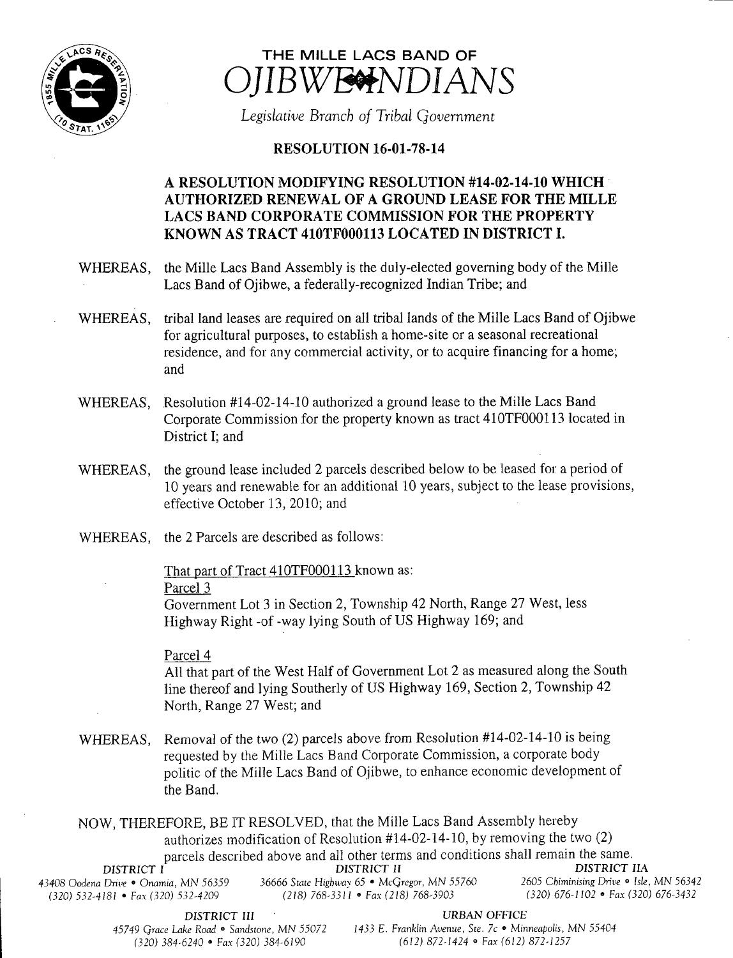



Legislative Branch of Tribal Government

## **RESOLUTION 16-01-78-14**

## A RESOLUTION MODIFYING RESOLUTION #14-02-14-10 WHICH AUTHORIZED RENEWAL OF A GROUND LEASE FOR THE MILLE LACS BAND CORPORATE COMMISSION FOR THE PROPERTY KNOWN AS TRACT 410TF000113 LOCATED IN DISTRICT I.

WHEREAS, the Mille Lacs Band Assembly is the duly-elected governing body of the Mille Lacs Band of Ojibwe, a federally-recognized Indian Tribe; and

- WHEREAS, tribal land leases are required on all tribal lands of the Mille Lacs Band of Ojibwe for agricultural purposes, to establish a home- site or <sup>a</sup> seasonal recreational residence, and for any commercial activity, or to acquire financing for <sup>a</sup> home; and
- WHEREAS, Resolution #14-02-14-10 authorized a ground lease to the Mille Lacs Band Corporate Commission for the property known as tract 410TF000113 located in District I; and
- WHEREAS, the ground lease included 2 parcels described below to be leased for a period of 10 years and renewable for an additional 10 years, subject to the lease provisions, effective October 13, 2010; and
- WHEREAS, the 2 Parcels are described as follows:

That part of Tract 410TF000113 known as:

## Parcel 3

Government Lot <sup>3</sup> in Section 2, Township 42 North, Range 27 West, less Highway Right- of- way lying South of US Highway 169; and

## Parcel 4

All that part of the West Half of Government Lot 2 as measured along the South line thereof and lying Southerly of US Highway 169, Section 2, Township 42 North, Range 27 West; and

WHEREAS, Removal of the two (2) parcels above from Resolution #14-02-14-10 is being requested by the Mille Lacs Band Corporate Commission, a corporate body politic of the Mille Lacs Band of Ojibwe, to enhance economic development of the Band.

NOW, THEREFORE, BE IT RESOLVED, that the Mille Lacs Band Assembly hereby authorizes modification of Resolution  $#14-02-14-10$ , by removing the two (2) parcels described above and all other terms and conditions shall remain the same. DISTRICT I DISTRICT II DISTRICT II 43408 Oodena Drive • Onamia, MN 56359 36666 State Highway 65 • McGregor, MN 55760 2605 Chiminising Drive • Isle, MN 56342<br>(320) 532-4181 • Fax (320) 532-4209 (218) 768-3311 • Fax (218) 768-3903 (320) 676-1102 • Fax (320) 320) 532- 4181 • Fax ( 320) 532- 4209 218) 768- 3311 • Fax( 218) 768- 3903 320) 676- 1102 • Fax( 320) 676- 3432

DISTRICT III URBAN OFFICE

45749 Grace Lake Road · Sandstone, MN 55072 1433 E. Franklin Avenue, Ste. 7c · Minneapolis, MN 55404 320) 384- 6240 • Fax( 320) 384- 6190 612) 872- 1424 • Fax( 612) 872- 1257